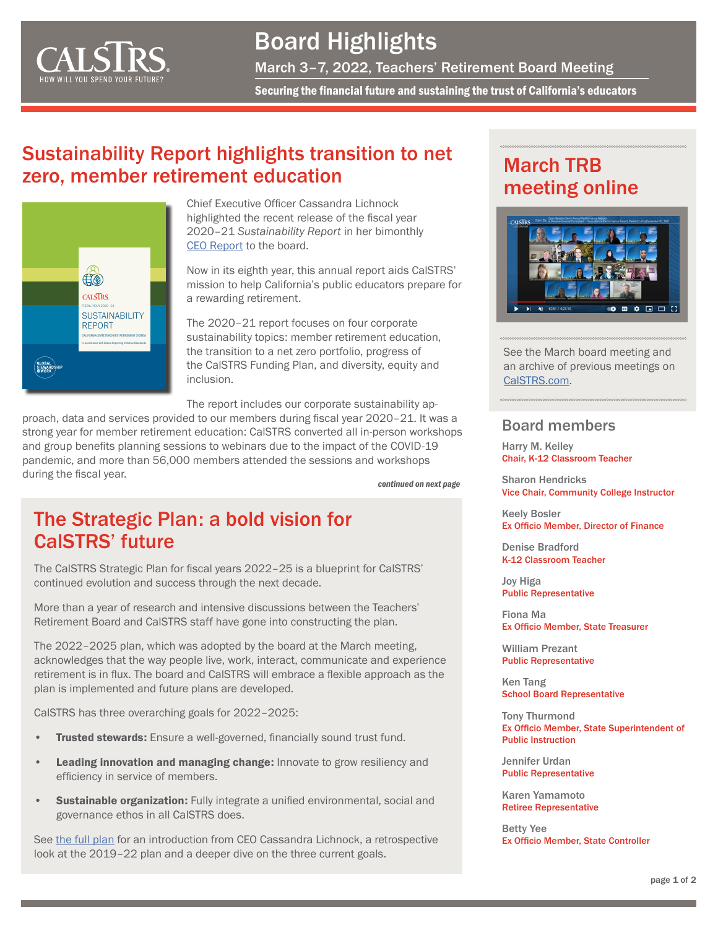

## Board Highlights

March 3–7, 2022, Teachers' Retirement Board Meeting

Securing the financial future and sustaining the trust of California's educators

## Sustainability Report highlights transition to net zero, member retirement education



Chief Executive Officer Cassandra Lichnock highlighted the recent release of the fiscal year 2020–21 *Sustainability Report* in her bimonthly [CEO Report](https://resources.calstrs.com/publicdocs/Page/CommonPage.aspx?PageName=DocumentDownload&Id=dd135779-c024-4506-9810-7a4ea6550c39) to the board.

Now in its eighth year, this annual report aids CalSTRS' mission to help California's public educators prepare for a rewarding retirement.

The 2020–21 report focuses on four corporate sustainability topics: member retirement education, the transition to a net zero portfolio, progress of the CalSTRS Funding Plan, and diversity, equity and inclusion.

The report includes our corporate sustainability ap-

proach, data and services provided to our members during fiscal year 2020–21. It was a strong year for member retirement education: CalSTRS converted all in-person workshops and group benefits planning sessions to webinars due to the impact of the COVID-19 pandemic, and more than 56,000 members attended the sessions and workshops during the fiscal year.

*continued on next page*

### The Strategic Plan: a bold vision for CalSTRS' future

The CalSTRS Strategic Plan for fiscal years 2022–25 is a blueprint for CalSTRS' continued evolution and success through the next decade.

More than a year of research and intensive discussions between the Teachers' Retirement Board and CalSTRS staff have gone into constructing the plan.

The 2022–2025 plan, which was adopted by the board at the March meeting, acknowledges that the way people live, work, interact, communicate and experience retirement is in flux. The board and CalSTRS will embrace a flexible approach as the plan is implemented and future plans are developed.

CalSTRS has three overarching goals for 2022–2025:

- **Trusted stewards:** Ensure a well-governed, financially sound trust fund.
- Leading innovation and managing change: Innovate to grow resiliency and efficiency in service of members.
- **Sustainable organization:** Fully integrate a unified environmental, social and governance ethos in all CalSTRS does.

See [the full plan](https://resources.calstrs.com/publicdocs/Page/CommonPage.aspx?PageName=DocumentDownload&Id=ca8fac9c-f2f4-4557-aab4-3c211dbda3cc) for an introduction from CEO Cassandra Lichnock, a retrospective look at the 2019–22 plan and a deeper dive on the three current goals.

## March TRB meeting online



See the March board meeting and an archive of previous meetings on [CalSTRS.com.](https://www.calstrs.com/board-meeting-video-archive)

#### Board members

Harry M. Keiley Chair, K-12 Classroom Teacher

Sharon Hendricks Vice Chair, Community College Instructor

Keely Bosler Ex Officio Member, Director of Finance

Denise Bradford K-12 Classroom Teacher

Joy Higa Public Representative

Fiona Ma Ex Officio Member, State Treasurer

William Prezant Public Representative

Ken Tang School Board Representative

Tony Thurmond Ex Officio Member, State Superintendent of Public Instruction

Jennifer Urdan Public Representative

Karen Yamamoto Retiree Representative

Betty Yee Ex Officio Member, State Controller